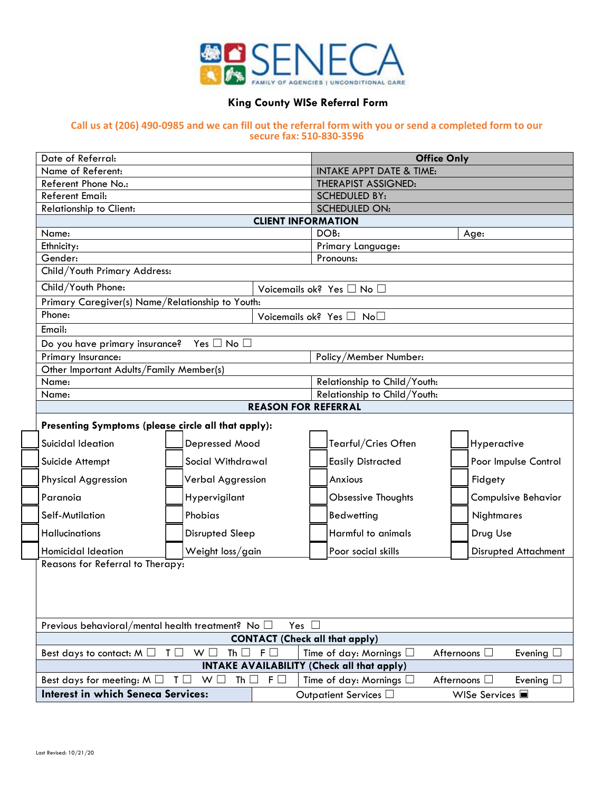

## **King County WISe Referral Form**

## **Call us at (206) 490-0985 and we can fill out the referral form with you or send a completed form to our secure fax: 510-830-3596**

|                                                                                                                                                                            | Date of Referral:                                                                                                                                                                                                    |                                                        |                               | <b>Office Only</b>                        |                            |                                |  |  |  |  |  |
|----------------------------------------------------------------------------------------------------------------------------------------------------------------------------|----------------------------------------------------------------------------------------------------------------------------------------------------------------------------------------------------------------------|--------------------------------------------------------|-------------------------------|-------------------------------------------|----------------------------|--------------------------------|--|--|--|--|--|
|                                                                                                                                                                            | Name of Referent:                                                                                                                                                                                                    |                                                        |                               | <b>INTAKE APPT DATE &amp; TIME:</b>       |                            |                                |  |  |  |  |  |
|                                                                                                                                                                            | Referent Phone No.:                                                                                                                                                                                                  |                                                        |                               |                                           | <b>THERAPIST ASSIGNED:</b> |                                |  |  |  |  |  |
|                                                                                                                                                                            | <b>Referent Email:</b>                                                                                                                                                                                               |                                                        |                               |                                           | <b>SCHEDULED BY:</b>       |                                |  |  |  |  |  |
|                                                                                                                                                                            | Relationship to Client:                                                                                                                                                                                              |                                                        |                               | <b>SCHEDULED ON:</b>                      |                            |                                |  |  |  |  |  |
|                                                                                                                                                                            |                                                                                                                                                                                                                      | <b>CLIENT INFORMATION</b>                              |                               |                                           |                            |                                |  |  |  |  |  |
|                                                                                                                                                                            | Name:                                                                                                                                                                                                                |                                                        |                               | DOB:<br>Age:                              |                            |                                |  |  |  |  |  |
|                                                                                                                                                                            | Gender:                                                                                                                                                                                                              | Ethnicity:                                             |                               |                                           |                            | Primary Language:<br>Pronouns: |  |  |  |  |  |
|                                                                                                                                                                            | Child/Youth Primary Address:                                                                                                                                                                                         |                                                        |                               |                                           |                            |                                |  |  |  |  |  |
|                                                                                                                                                                            | Child/Youth Phone:                                                                                                                                                                                                   |                                                        |                               | Voicemails ok? Yes $\square$ No $\square$ |                            |                                |  |  |  |  |  |
|                                                                                                                                                                            |                                                                                                                                                                                                                      | Primary Caregiver(s) Name/Relationship to Youth:       |                               |                                           |                            |                                |  |  |  |  |  |
|                                                                                                                                                                            | Phone:                                                                                                                                                                                                               | Voicemails ok? Yes $\Box$ No $\Box$                    |                               |                                           |                            |                                |  |  |  |  |  |
|                                                                                                                                                                            | Email:                                                                                                                                                                                                               |                                                        |                               |                                           |                            |                                |  |  |  |  |  |
|                                                                                                                                                                            |                                                                                                                                                                                                                      | Do you have primary insurance?<br>Yes $\Box$ No $\Box$ |                               |                                           |                            |                                |  |  |  |  |  |
|                                                                                                                                                                            | Primary Insurance:                                                                                                                                                                                                   |                                                        |                               | Policy/Member Number:                     |                            |                                |  |  |  |  |  |
|                                                                                                                                                                            | Other Important Adults/Family Member(s)                                                                                                                                                                              |                                                        |                               |                                           |                            |                                |  |  |  |  |  |
|                                                                                                                                                                            | Name:                                                                                                                                                                                                                |                                                        |                               | Relationship to Child/Youth:              |                            |                                |  |  |  |  |  |
|                                                                                                                                                                            | Name:                                                                                                                                                                                                                |                                                        |                               | Relationship to Child/Youth:              |                            |                                |  |  |  |  |  |
|                                                                                                                                                                            |                                                                                                                                                                                                                      | <b>REASON FOR REFERRAL</b>                             |                               |                                           |                            |                                |  |  |  |  |  |
|                                                                                                                                                                            | Presenting Symptoms (please circle all that apply):                                                                                                                                                                  |                                                        |                               |                                           |                            |                                |  |  |  |  |  |
|                                                                                                                                                                            | Suicidal Ideation                                                                                                                                                                                                    | Depressed Mood                                         |                               | Tearful/Cries Often                       |                            | Hyperactive                    |  |  |  |  |  |
|                                                                                                                                                                            | Suicide Attempt                                                                                                                                                                                                      | Social Withdrawal                                      |                               | <b>Easily Distracted</b>                  |                            | Poor Impulse Control           |  |  |  |  |  |
|                                                                                                                                                                            | <b>Physical Aggression</b>                                                                                                                                                                                           | Verbal Aggression                                      |                               | Anxious                                   |                            | Fidgety                        |  |  |  |  |  |
|                                                                                                                                                                            | Paranoia                                                                                                                                                                                                             | Hypervigilant                                          |                               | <b>Obsessive Thoughts</b>                 |                            | <b>Compulsive Behavior</b>     |  |  |  |  |  |
|                                                                                                                                                                            | Self-Mutilation                                                                                                                                                                                                      | Phobias                                                |                               | Bedwetting                                |                            | Nightmares                     |  |  |  |  |  |
|                                                                                                                                                                            | <b>Hallucinations</b>                                                                                                                                                                                                | <b>Disrupted Sleep</b>                                 |                               | Harmful to animals                        |                            | Drug Use                       |  |  |  |  |  |
|                                                                                                                                                                            | <b>Homicidal Ideation</b>                                                                                                                                                                                            | Weight loss/gain                                       |                               | Poor social skills                        |                            | <b>Disrupted Attachment</b>    |  |  |  |  |  |
|                                                                                                                                                                            |                                                                                                                                                                                                                      | Reasons for Referral to Therapy:                       |                               |                                           |                            |                                |  |  |  |  |  |
|                                                                                                                                                                            |                                                                                                                                                                                                                      |                                                        |                               |                                           |                            |                                |  |  |  |  |  |
|                                                                                                                                                                            |                                                                                                                                                                                                                      |                                                        |                               |                                           |                            |                                |  |  |  |  |  |
|                                                                                                                                                                            |                                                                                                                                                                                                                      |                                                        |                               |                                           |                            |                                |  |  |  |  |  |
|                                                                                                                                                                            | Previous behavioral/mental health treatment? No □<br>Yes $\square$<br><b>CONTACT (Check all that apply)</b>                                                                                                          |                                                        |                               |                                           |                            |                                |  |  |  |  |  |
|                                                                                                                                                                            |                                                                                                                                                                                                                      |                                                        |                               |                                           |                            |                                |  |  |  |  |  |
|                                                                                                                                                                            | $T \Box$<br>W <sub>1</sub><br>Th $\Box$ F $\Box$<br>Time of day: Mornings $\Box$<br>Afternoons $\square$<br>Best days to contact: $M \Box$<br>Evening $\square$<br><b>INTAKE AVAILABILITY (Check all that apply)</b> |                                                        |                               |                                           |                            |                                |  |  |  |  |  |
|                                                                                                                                                                            |                                                                                                                                                                                                                      |                                                        |                               |                                           |                            |                                |  |  |  |  |  |
| Th $\Box$<br>$F \Box$<br>Time of day: Mornings $\square$<br>Afternoons $\square$<br>Best days for meeting: $M \Box$<br>$\mathsf{L}$<br>W <sup>2</sup><br>Evening $\square$ |                                                                                                                                                                                                                      |                                                        |                               |                                           |                            |                                |  |  |  |  |  |
|                                                                                                                                                                            | <b>Interest in which Seneca Services:</b>                                                                                                                                                                            |                                                        | Outpatient Services $\square$ |                                           | WISe Services ■            |                                |  |  |  |  |  |
|                                                                                                                                                                            |                                                                                                                                                                                                                      |                                                        |                               |                                           |                            |                                |  |  |  |  |  |